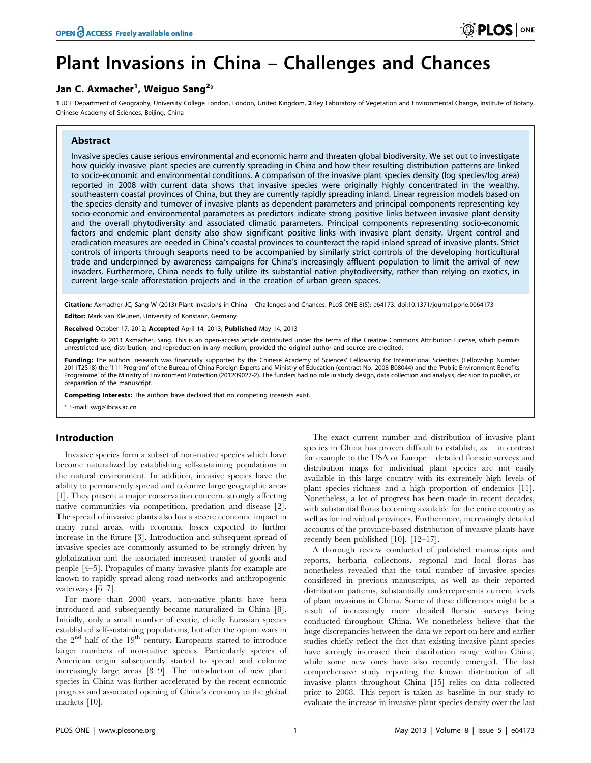# Plant Invasions in China – Challenges and Chances

## Jan C. Axmacher<sup>1</sup>, Weiguo Sang<sup>2</sup>\*

1 UCL Department of Geography, University College London, London, United Kingdom, 2 Key Laboratory of Vegetation and Environmental Change, Institute of Botany, Chinese Academy of Sciences, Beijing, China

## Abstract

Invasive species cause serious environmental and economic harm and threaten global biodiversity. We set out to investigate how quickly invasive plant species are currently spreading in China and how their resulting distribution patterns are linked to socio-economic and environmental conditions. A comparison of the invasive plant species density (log species/log area) reported in 2008 with current data shows that invasive species were originally highly concentrated in the wealthy, southeastern coastal provinces of China, but they are currently rapidly spreading inland. Linear regression models based on the species density and turnover of invasive plants as dependent parameters and principal components representing key socio-economic and environmental parameters as predictors indicate strong positive links between invasive plant density and the overall phytodiversity and associated climatic parameters. Principal components representing socio-economic factors and endemic plant density also show significant positive links with invasive plant density. Urgent control and eradication measures are needed in China's coastal provinces to counteract the rapid inland spread of invasive plants. Strict controls of imports through seaports need to be accompanied by similarly strict controls of the developing horticultural trade and underpinned by awareness campaigns for China's increasingly affluent population to limit the arrival of new invaders. Furthermore, China needs to fully utilize its substantial native phytodiversity, rather than relying on exotics, in current large-scale afforestation projects and in the creation of urban green spaces.

Citation: Axmacher JC, Sang W (2013) Plant Invasions in China - Challenges and Chances. PLoS ONE 8(5): e64173. doi:10.1371/journal.pone.0064173

Editor: Mark van Kleunen, University of Konstanz, Germany

Received October 17, 2012; Accepted April 14, 2013; Published May 14, 2013

**Copyright:** © 2013 Axmacher, Sang. This is an open-access article distributed under the terms of the Creative Commons Attribution License, which permits unrestricted use, distribution, and reproduction in any medium, provided the original author and source are credited.

Funding: The authors' research was financially supported by the Chinese Academy of Sciences' Fellowship for International Scientists (Fellowship Number 2011T2S18) the '111 Program' of the Bureau of China Foreign Experts and Ministry of Education (contract No. 2008-B08044) and the 'Public Environment Benefits Programme' of the Ministry of Environment Protection (201209027-2). The funders had no role in study design, data collection and analysis, decision to publish, or preparation of the manuscript.

Competing Interests: The authors have declared that no competing interests exist.

E-mail: swg@ibcas.ac.cn

## Introduction

Invasive species form a subset of non-native species which have become naturalized by establishing self-sustaining populations in the natural environment. In addition, invasive species have the ability to permanently spread and colonize large geographic areas [1]. They present a major conservation concern, strongly affecting native communities via competition, predation and disease [2]. The spread of invasive plants also has a severe economic impact in many rural areas, with economic losses expected to further increase in the future [3]. Introduction and subsequent spread of invasive species are commonly assumed to be strongly driven by globalization and the associated increased transfer of goods and people [4–5]. Propagules of many invasive plants for example are known to rapidly spread along road networks and anthropogenic waterways [6–7].

For more than 2000 years, non-native plants have been introduced and subsequently became naturalized in China [8]. Initially, only a small number of exotic, chiefly Eurasian species established self-sustaining populations, but after the opium wars in the  $2<sup>nd</sup>$  half of the  $19<sup>th</sup>$  century, Europeans started to introduce larger numbers of non-native species. Particularly species of American origin subsequently started to spread and colonize increasingly large areas [8–9]. The introduction of new plant species in China was further accelerated by the recent economic progress and associated opening of China's economy to the global markets [10].

The exact current number and distribution of invasive plant species in China has proven difficult to establish, as – in contrast for example to the USA or Europe – detailed floristic surveys and distribution maps for individual plant species are not easily available in this large country with its extremely high levels of plant species richness and a high proportion of endemics [11]. Nonetheless, a lot of progress has been made in recent decades, with substantial floras becoming available for the entire country as well as for individual provinces. Furthermore, increasingly detailed accounts of the province-based distribution of invasive plants have recently been published [10], [12–17].

A thorough review conducted of published manuscripts and reports, herbaria collections, regional and local floras has nonetheless revealed that the total number of invasive species considered in previous manuscripts, as well as their reported distribution patterns, substantially underrepresents current levels of plant invasions in China. Some of these differences might be a result of increasingly more detailed floristic surveys being conducted throughout China. We nonetheless believe that the huge discrepancies between the data we report on here and earlier studies chiefly reflect the fact that existing invasive plant species have strongly increased their distribution range within China, while some new ones have also recently emerged. The last comprehensive study reporting the known distribution of all invasive plants throughout China [15] relies on data collected prior to 2008. This report is taken as baseline in our study to evaluate the increase in invasive plant species density over the last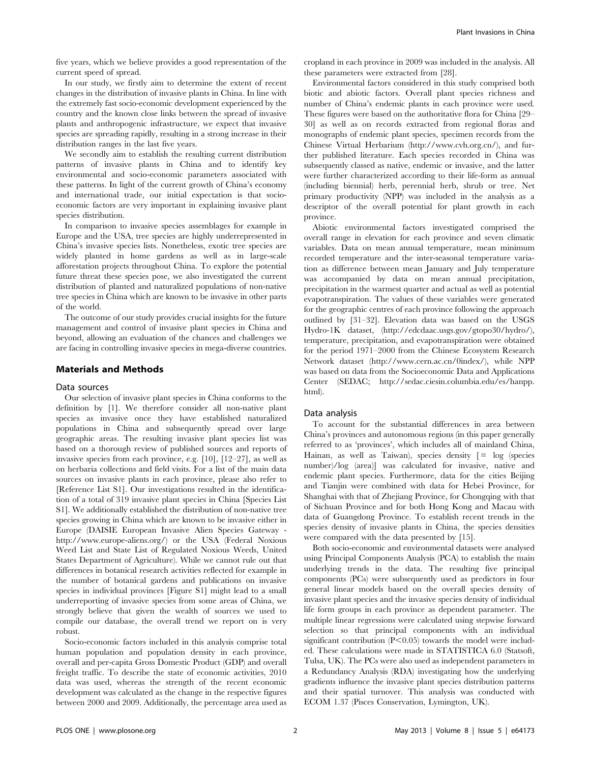five years, which we believe provides a good representation of the current speed of spread.

In our study, we firstly aim to determine the extent of recent changes in the distribution of invasive plants in China. In line with the extremely fast socio-economic development experienced by the country and the known close links between the spread of invasive plants and anthropogenic infrastructure, we expect that invasive species are spreading rapidly, resulting in a strong increase in their distribution ranges in the last five years.

We secondly aim to establish the resulting current distribution patterns of invasive plants in China and to identify key environmental and socio-economic parameters associated with these patterns. In light of the current growth of China's economy and international trade, our initial expectation is that socioeconomic factors are very important in explaining invasive plant species distribution.

In comparison to invasive species assemblages for example in Europe and the USA, tree species are highly underrepresented in China's invasive species lists. Nonetheless, exotic tree species are widely planted in home gardens as well as in large-scale afforestation projects throughout China. To explore the potential future threat these species pose, we also investigated the current distribution of planted and naturalized populations of non-native tree species in China which are known to be invasive in other parts of the world.

The outcome of our study provides crucial insights for the future management and control of invasive plant species in China and beyond, allowing an evaluation of the chances and challenges we are facing in controlling invasive species in mega-diverse countries.

### Materials and Methods

#### Data sources

Our selection of invasive plant species in China conforms to the definition by [1]. We therefore consider all non-native plant species as invasive once they have established naturalized populations in China and subsequently spread over large geographic areas. The resulting invasive plant species list was based on a thorough review of published sources and reports of invasive species from each province, e.g. [10], [12–27], as well as on herbaria collections and field visits. For a list of the main data sources on invasive plants in each province, please also refer to [Reference List S1]. Our investigations resulted in the identification of a total of 319 invasive plant species in China [Species List S1]. We additionally established the distribution of non-native tree species growing in China which are known to be invasive either in Europe (DAISIE European Invasive Alien Species Gateway http://www.europe-aliens.org/) or the USA (Federal Noxious Weed List and State List of Regulated Noxious Weeds, United States Department of Agriculture). While we cannot rule out that differences in botanical research activities reflected for example in the number of botanical gardens and publications on invasive species in individual provinces [Figure S1] might lead to a small underreporting of invasive species from some areas of China, we strongly believe that given the wealth of sources we used to compile our database, the overall trend we report on is very robust.

Socio-economic factors included in this analysis comprise total human population and population density in each province, overall and per-capita Gross Domestic Product (GDP) and overall freight traffic. To describe the state of economic activities, 2010 data was used, whereas the strength of the recent economic development was calculated as the change in the respective figures between 2000 and 2009. Additionally, the percentage area used as cropland in each province in 2009 was included in the analysis. All these parameters were extracted from [28].

Environmental factors considered in this study comprised both biotic and abiotic factors. Overall plant species richness and number of China's endemic plants in each province were used. These figures were based on the authoritative flora for China [29– 30] as well as on records extracted from regional floras and monographs of endemic plant species, specimen records from the Chinese Virtual Herbarium (http://www.cvh.org.cn/), and further published literature. Each species recorded in China was subsequently classed as native, endemic or invasive, and the latter were further characterized according to their life-form as annual (including biennial) herb, perennial herb, shrub or tree. Net primary productivity (NPP) was included in the analysis as a descriptor of the overall potential for plant growth in each province.

Abiotic environmental factors investigated comprised the overall range in elevation for each province and seven climatic variables. Data on mean annual temperature, mean minimum recorded temperature and the inter-seasonal temperature variation as difference between mean January and July temperature was accompanied by data on mean annual precipitation, precipitation in the warmest quarter and actual as well as potential evapotranspiration. The values of these variables were generated for the geographic centres of each province following the approach outlined by [31–32]. Elevation data was based on the USGS Hydro-1K dataset, (http://edcdaac.usgs.gov/gtopo30/hydro/), temperature, precipitation, and evapotranspiration were obtained for the period 1971–2000 from the Chinese Ecosystem Research Network dataset (http://www.cern.ac.cn/0index/), while NPP was based on data from the Socioeconomic Data and Applications Center (SEDAC; http://sedac.ciesin.columbia.edu/es/hanpp. html).

#### Data analysis

To account for the substantial differences in area between China's provinces and autonomous regions (in this paper generally referred to as 'provinces', which includes all of mainland China, Hainan, as well as Taiwan), species density  $\lceil = \log \rceil$  (species number)/log (area)] was calculated for invasive, native and endemic plant species. Furthermore, data for the cities Beijing and Tianjin were combined with data for Hebei Province, for Shanghai with that of Zhejiang Province, for Chongqing with that of Sichuan Province and for both Hong Kong and Macau with data of Guangdong Province. To establish recent trends in the species density of invasive plants in China, the species densities were compared with the data presented by [15].

Both socio-economic and environmental datasets were analysed using Principal Components Analysis (PCA) to establish the main underlying trends in the data. The resulting five principal components (PCs) were subsequently used as predictors in four general linear models based on the overall species density of invasive plant species and the invasive species density of individual life form groups in each province as dependent parameter. The multiple linear regressions were calculated using stepwise forward selection so that principal components with an individual significant contribution  $(P<0.05)$  towards the model were included. These calculations were made in STATISTICA 6.0 (Statsoft, Tulsa, UK). The PCs were also used as independent parameters in a Redundancy Analysis (RDA) investigating how the underlying gradients influence the invasive plant species distribution patterns and their spatial turnover. This analysis was conducted with ECOM 1.37 (Pisces Conservation, Lymington, UK).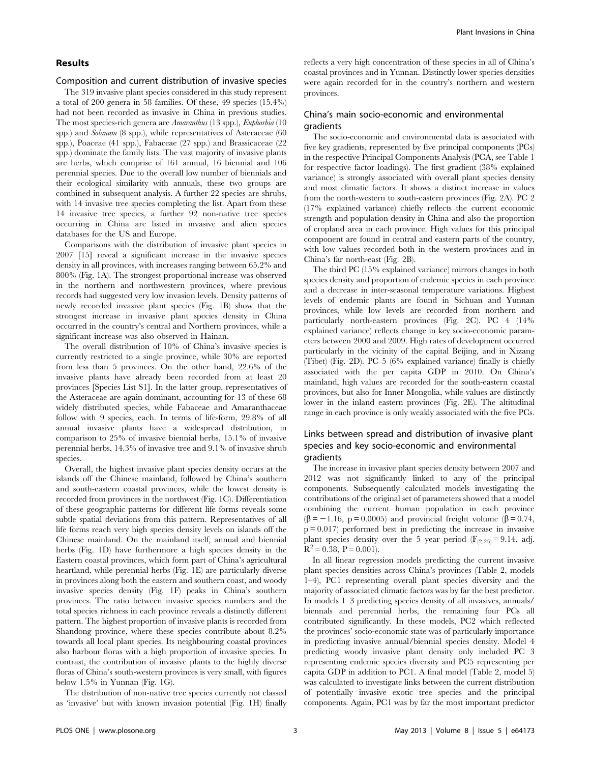## Results

#### Composition and current distribution of invasive species

The 319 invasive plant species considered in this study represent a total of 200 genera in 58 families. Of these, 49 species (15.4%) had not been recorded as invasive in China in previous studies. The most species-rich genera are Amaranthus (13 spp.), Euphorbia (10 spp.) and Solanum (8 spp.), while representatives of Asteraceae (60 spp.), Poaceae (41 spp.), Fabaceae (27 spp.) and Brassicaceae (22 spp.) dominate the family lists. The vast majority of invasive plants are herbs, which comprise of 161 annual, 16 biennial and 106 perennial species. Due to the overall low number of biennials and their ecological similarity with annuals, these two groups are combined in subsequent analysis. A further 22 species are shrubs, with 14 invasive tree species completing the list. Apart from these 14 invasive tree species, a further 92 non-native tree species occurring in China are listed in invasive and alien species databases for the US and Europe.

Comparisons with the distribution of invasive plant species in 2007 [15] reveal a significant increase in the invasive species density in all provinces, with increases ranging between 65.2% and 800% (Fig. 1A). The strongest proportional increase was observed in the northern and northwestern provinces, where previous records had suggested very low invasion levels. Density patterns of newly recorded invasive plant species (Fig. 1B) show that the strongest increase in invasive plant species density in China occurred in the country's central and Northern provinces, while a significant increase was also observed in Hainan.

The overall distribution of 10% of China's invasive species is currently restricted to a single province, while 30% are reported from less than 5 provinces. On the other hand, 22.6% of the invasive plants have already been recorded from at least 20 provinces [Species List S1]. In the latter group, representatives of the Asteraceae are again dominant, accounting for 13 of these 68 widely distributed species, while Fabaceae and Amaranthaceae follow with 9 species, each. In terms of life-form, 29.8% of all annual invasive plants have a widespread distribution, in comparison to 25% of invasive biennial herbs, 15.1% of invasive perennial herbs, 14.3% of invasive tree and 9.1% of invasive shrub species.

Overall, the highest invasive plant species density occurs at the islands off the Chinese mainland, followed by China's southern and south-eastern coastal provinces, while the lowest density is recorded from provinces in the northwest (Fig. 1C). Differentiation of these geographic patterns for different life forms reveals some subtle spatial deviations from this pattern. Representatives of all life forms reach very high species density levels on islands off the Chinese mainland. On the mainland itself, annual and biennial herbs (Fig. 1D) have furthermore a high species density in the Eastern coastal provinces, which form part of China's agricultural heartland, while perennial herbs (Fig. 1E) are particularly diverse in provinces along both the eastern and southern coast, and woody invasive species density (Fig. 1F) peaks in China's southern provinces. The ratio between invasive species numbers and the total species richness in each province reveals a distinctly different pattern. The highest proportion of invasive plants is recorded from Shandong province, where these species contribute about 8.2% towards all local plant species. Its neighbouring coastal provinces also harbour floras with a high proportion of invasive species. In contrast, the contribution of invasive plants to the highly diverse floras of China's south-western provinces is very small, with figures below 1.5% in Yunnan (Fig. 1G).

The distribution of non-native tree species currently not classed as 'invasive' but with known invasion potential (Fig. 1H) finally reflects a very high concentration of these species in all of China's coastal provinces and in Yunnan. Distinctly lower species densities were again recorded for in the country's northern and western provinces.

## China's main socio-economic and environmental gradients

The socio-economic and environmental data is associated with five key gradients, represented by five principal components (PCs) in the respective Principal Components Analysis (PCA, see Table 1 for respective factor loadings). The first gradient (38% explained variance) is strongly associated with overall plant species density and most climatic factors. It shows a distinct increase in values from the north-western to south-eastern provinces (Fig. 2A). PC 2 (17% explained variance) chiefly reflects the current economic strength and population density in China and also the proportion of cropland area in each province. High values for this principal component are found in central and eastern parts of the country, with low values recorded both in the western provinces and in China's far north-east (Fig. 2B).

The third PC (15% explained variance) mirrors changes in both species density and proportion of endemic species in each province and a decrease in inter-seasonal temperature variations. Highest levels of endemic plants are found in Sichuan and Yunnan provinces, while low levels are recorded from northern and particularly north-eastern provinces (Fig. 2C). PC 4 (14% explained variance) reflects change in key socio-economic parameters between 2000 and 2009. High rates of development occurred particularly in the vicinity of the capital Beijing, and in Xizang (Tibet) (Fig. 2D). PC 5 (6% explained variance) finally is chiefly associated with the per capita GDP in 2010. On China's mainland, high values are recorded for the south-eastern coastal provinces, but also for Inner Mongolia, while values are distinctly lower in the inland eastern provinces (Fig. 2E). The altitudinal range in each province is only weakly associated with the five PCs.

## Links between spread and distribution of invasive plant species and key socio-economic and environmental gradients

The increase in invasive plant species density between 2007 and 2012 was not significantly linked to any of the principal components. Subsequently calculated models investigating the contributions of the original set of parameters showed that a model combining the current human population in each province  $(\beta = -1.16, p = 0.0005)$  and provincial freight volume ( $\beta = 0.74$ ,  $p = 0.017$ ) performed best in predicting the increase in invasive plant species density over the 5 year period ( $F_{(2,25)}=9.14$ , adj.  $R^2 = 0.38$ ,  $P = 0.001$ ).

In all linear regression models predicting the current invasive plant species densities across China's provinces (Table 2, models 1–4), PC1 representing overall plant species diversity and the majority of associated climatic factors was by far the best predictor. In models 1–3 predicting species density of all invasives, annuals/ biennals and perennial herbs, the remaining four PCs all contributed significantly. In these models, PC2 which reflected the provinces' socio-economic state was of particularly importance in predicting invasive annual/biennial species density. Model 4 predicting woody invasive plant density only included PC 3 representing endemic species diversity and PC5 representing per capita GDP in addition to PC1. A final model (Table 2, model 5) was calculated to investigate links between the current distribution of potentially invasive exotic tree species and the principal components. Again, PC1 was by far the most important predictor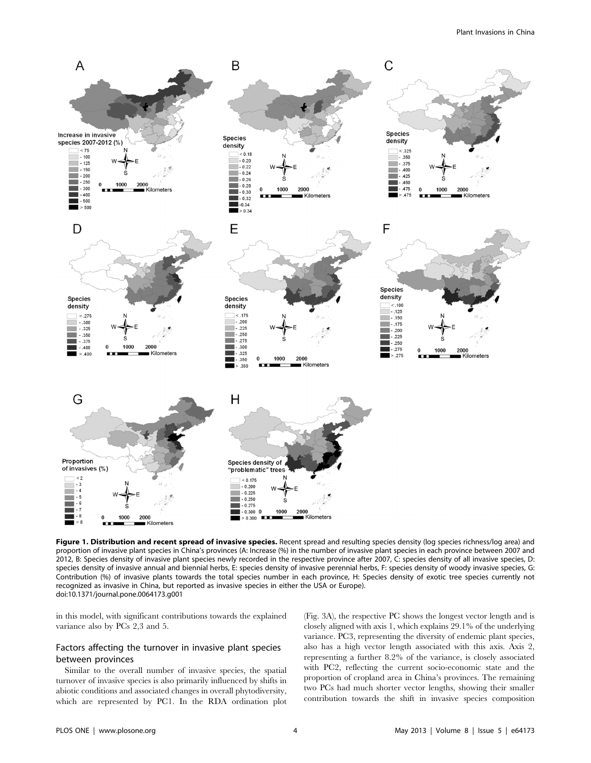

Figure 1. Distribution and recent spread of invasive species. Recent spread and resulting species density (log species richness/log area) and proportion of invasive plant species in China's provinces (A: Increase (%) in the number of invasive plant species in each province between 2007 and 2012, B: Species density of invasive plant species newly recorded in the respective province after 2007, C: species density of all invasive species, D: species density of invasive annual and biennial herbs, E: species density of invasive perennial herbs, F: species density of woody invasive species, G: Contribution (%) of invasive plants towards the total species number in each province, H: Species density of exotic tree species currently not recognized as invasive in China, but reported as invasive species in either the USA or Europe). doi:10.1371/journal.pone.0064173.g001

in this model, with significant contributions towards the explained variance also by PCs 2,3 and 5.

## Factors affecting the turnover in invasive plant species between provinces

Similar to the overall number of invasive species, the spatial turnover of invasive species is also primarily influenced by shifts in abiotic conditions and associated changes in overall phytodiversity, which are represented by PC1. In the RDA ordination plot (Fig. 3A), the respective PC shows the longest vector length and is closely aligned with axis 1, which explains 29.1% of the underlying variance. PC3, representing the diversity of endemic plant species, also has a high vector length associated with this axis. Axis 2, representing a further 8.2% of the variance, is closely associated with PC2, reflecting the current socio-economic state and the proportion of cropland area in China's provinces. The remaining two PCs had much shorter vector lengths, showing their smaller contribution towards the shift in invasive species composition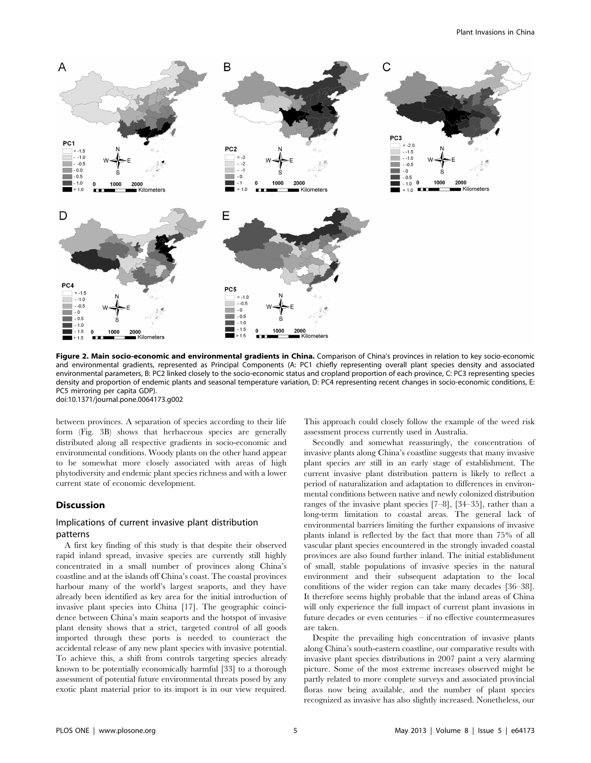

Figure 2. Main socio-economic and environmental gradients in China. Comparison of China's provinces in relation to key socio-economic and environmental gradients, represented as Principal Components (A: PC1 chiefly representing overall plant species density and associated environmental parameters, B: PC2 linked closely to the socio-economic status and cropland proportion of each province, C: PC3 representing species density and proportion of endemic plants and seasonal temperature variation, D: PC4 representing recent changes in socio-economic conditions, E: PC5 mirroring per capita GDP). doi:10.1371/journal.pone.0064173.g002

between provinces. A separation of species according to their life form (Fig. 3B) shows that herbaceous species are generally distributed along all respective gradients in socio-economic and environmental conditions. Woody plants on the other hand appear to be somewhat more closely associated with areas of high phytodiversity and endemic plant species richness and with a lower current state of economic development.

## Discussion

## Implications of current invasive plant distribution patterns

A first key finding of this study is that despite their observed rapid inland spread, invasive species are currently still highly concentrated in a small number of provinces along China's coastline and at the islands off China's coast. The coastal provinces harbour many of the world's largest seaports, and they have already been identified as key area for the initial introduction of invasive plant species into China [17]. The geographic coincidence between China's main seaports and the hotspot of invasive plant density shows that a strict, targeted control of all goods imported through these ports is needed to counteract the accidental release of any new plant species with invasive potential. To achieve this, a shift from controls targeting species already known to be potentially economically harmful [33] to a thorough assessment of potential future environmental threats posed by any exotic plant material prior to its import is in our view required.

This approach could closely follow the example of the weed risk assessment process currently used in Australia.

Secondly and somewhat reassuringly, the concentration of invasive plants along China's coastline suggests that many invasive plant species are still in an early stage of establishment. The current invasive plant distribution pattern is likely to reflect a period of naturalization and adaptation to differences in environmental conditions between native and newly colonized distribution ranges of the invasive plant species [7–8], [34–35], rather than a long-term limitation to coastal areas. The general lack of environmental barriers limiting the further expansions of invasive plants inland is reflected by the fact that more than 75% of all vascular plant species encountered in the strongly invaded coastal provinces are also found further inland. The initial establishment of small, stable populations of invasive species in the natural environment and their subsequent adaptation to the local conditions of the wider region can take many decades [36–38]. It therefore seems highly probable that the inland areas of China will only experience the full impact of current plant invasions in future decades or even centuries – if no effective countermeasures are taken.

Despite the prevailing high concentration of invasive plants along China's south-eastern coastline, our comparative results with invasive plant species distributions in 2007 paint a very alarming picture. Some of the most extreme increases observed might be partly related to more complete surveys and associated provincial floras now being available, and the number of plant species recognized as invasive has also slightly increased. Nonetheless, our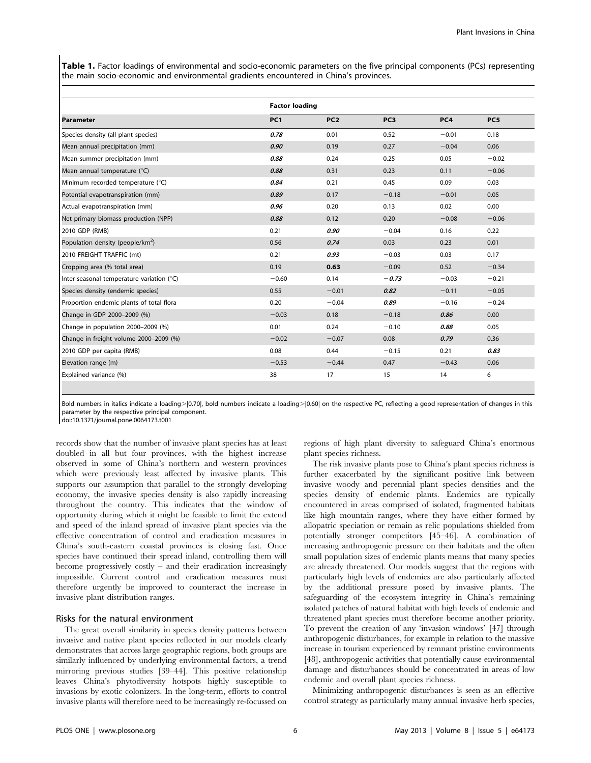Table 1. Factor loadings of environmental and socio-economic parameters on the five principal components (PCs) representing the main socio-economic and environmental gradients encountered in China's provinces.

|                                              | <b>Factor loading</b> |                 |                 |         |         |
|----------------------------------------------|-----------------------|-----------------|-----------------|---------|---------|
| l Parameter                                  | PC <sub>1</sub>       | PC <sub>2</sub> | PC <sub>3</sub> | PC4     | PC5     |
| Species density (all plant species)          | 0.78                  | 0.01            | 0.52            | $-0.01$ | 0.18    |
| Mean annual precipitation (mm)               | 0.90                  | 0.19            | 0.27            | $-0.04$ | 0.06    |
| Mean summer precipitation (mm)               | 0.88                  | 0.24            | 0.25            | 0.05    | $-0.02$ |
| Mean annual temperature (°C)                 | 0.88                  | 0.31            | 0.23            | 0.11    | $-0.06$ |
| Minimum recorded temperature (°C)            | 0.84                  | 0.21            | 0.45            | 0.09    | 0.03    |
| Potential evapotranspiration (mm)            | 0.89                  | 0.17            | $-0.18$         | $-0.01$ | 0.05    |
| Actual evapotranspiration (mm)               | 0.96                  | 0.20            | 0.13            | 0.02    | 0.00    |
| Net primary biomass production (NPP)         | 0.88                  | 0.12            | 0.20            | $-0.08$ | $-0.06$ |
| 2010 GDP (RMB)                               | 0.21                  | 0.90            | $-0.04$         | 0.16    | 0.22    |
| Population density (people/km <sup>2</sup> ) | 0.56                  | 0.74            | 0.03            | 0.23    | 0.01    |
| 2010 FREIGHT TRAFFIC (mt)                    | 0.21                  | 0.93            | $-0.03$         | 0.03    | 0.17    |
| Cropping area (% total area)                 | 0.19                  | 0.63            | $-0.09$         | 0.52    | $-0.34$ |
| Inter-seasonal temperature variation (°C)    | $-0.60$               | 0.14            | $-0.73$         | $-0.03$ | $-0.21$ |
| Species density (endemic species)            | 0.55                  | $-0.01$         | 0.82            | $-0.11$ | $-0.05$ |
| Proportion endemic plants of total flora     | 0.20                  | $-0.04$         | 0.89            | $-0.16$ | $-0.24$ |
| Change in GDP 2000-2009 (%)                  | $-0.03$               | 0.18            | $-0.18$         | 0.86    | 0.00    |
| Change in population 2000-2009 (%)           | 0.01                  | 0.24            | $-0.10$         | 0.88    | 0.05    |
| Change in freight volume 2000-2009 (%)       | $-0.02$               | $-0.07$         | 0.08            | 0.79    | 0.36    |
| 2010 GDP per capita (RMB)                    | 0.08                  | 0.44            | $-0.15$         | 0.21    | 0.83    |
| Elevation range (m)                          | $-0.53$               | $-0.44$         | 0.47            | $-0.43$ | 0.06    |
| Explained variance (%)                       | 38                    | 17              | 15              | 14      | 6       |

Bold numbers in italics indicate a loading>|0.70|, bold numbers indicate a loading>|0.60| on the respective PC, reflecting a good representation of changes in this parameter by the respective principal component.

doi:10.1371/journal.pone.0064173.t001

records show that the number of invasive plant species has at least doubled in all but four provinces, with the highest increase observed in some of China's northern and western provinces which were previously least affected by invasive plants. This supports our assumption that parallel to the strongly developing economy, the invasive species density is also rapidly increasing throughout the country. This indicates that the window of opportunity during which it might be feasible to limit the extend and speed of the inland spread of invasive plant species via the effective concentration of control and eradication measures in China's south-eastern coastal provinces is closing fast. Once species have continued their spread inland, controlling them will become progressively costly – and their eradication increasingly impossible. Current control and eradication measures must therefore urgently be improved to counteract the increase in invasive plant distribution ranges.

## Risks for the natural environment

The great overall similarity in species density patterns between invasive and native plant species reflected in our models clearly demonstrates that across large geographic regions, both groups are similarly influenced by underlying environmental factors, a trend mirroring previous studies [39–44]. This positive relationship leaves China's phytodiversity hotspots highly susceptible to invasions by exotic colonizers. In the long-term, efforts to control invasive plants will therefore need to be increasingly re-focussed on regions of high plant diversity to safeguard China's enormous plant species richness.

The risk invasive plants pose to China's plant species richness is further exacerbated by the significant positive link between invasive woody and perennial plant species densities and the species density of endemic plants. Endemics are typically encountered in areas comprised of isolated, fragmented habitats like high mountain ranges, where they have either formed by allopatric speciation or remain as relic populations shielded from potentially stronger competitors [45–46]. A combination of increasing anthropogenic pressure on their habitats and the often small population sizes of endemic plants means that many species are already threatened. Our models suggest that the regions with particularly high levels of endemics are also particularly affected by the additional pressure posed by invasive plants. The safeguarding of the ecosystem integrity in China's remaining isolated patches of natural habitat with high levels of endemic and threatened plant species must therefore become another priority. To prevent the creation of any 'invasion windows' [47] through anthropogenic disturbances, for example in relation to the massive increase in tourism experienced by remnant pristine environments [48], anthropogenic activities that potentially cause environmental damage and disturbances should be concentrated in areas of low endemic and overall plant species richness.

Minimizing anthropogenic disturbances is seen as an effective control strategy as particularly many annual invasive herb species,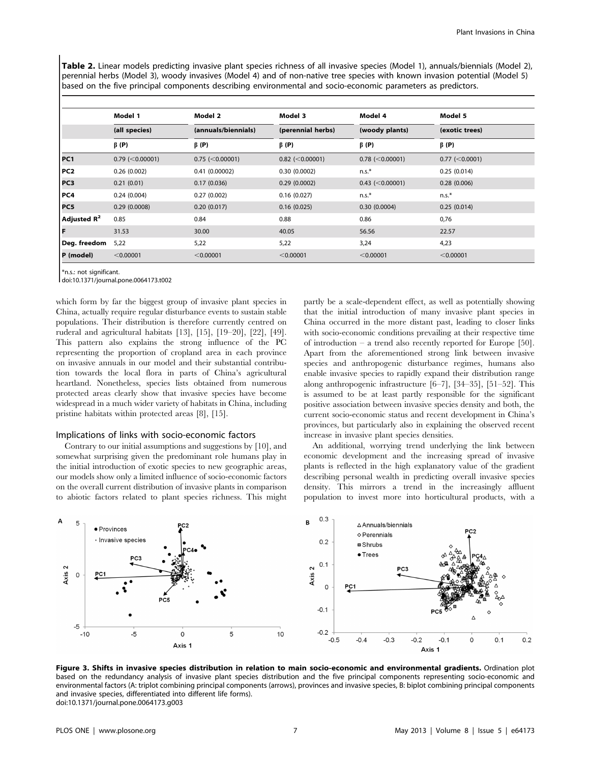Table 2. Linear models predicting invasive plant species richness of all invasive species (Model 1), annuals/biennials (Model 2), perennial herbs (Model 3), woody invasives (Model 4) and of non-native tree species with known invasion potential (Model 5) based on the five principal components describing environmental and socio-economic parameters as predictors.

|                 | Model 1               | Model 2             | Model 3           | Model 4               | Model 5<br>(exotic trees) |  |
|-----------------|-----------------------|---------------------|-------------------|-----------------------|---------------------------|--|
|                 | (all species)         | (annuals/biennials) | (perennial herbs) | (woody plants)        |                           |  |
|                 | $\beta$ (P)           | $\beta$ (P)         | $\beta$ (P)       | $\beta$ (P)           | $\beta$ (P)               |  |
| PC <sub>1</sub> | $0.79$ (< $0.00001$ ) | $0.75$ (<0.00001)   | $0.82$ (<0.00001) | $0.78$ (< $0.00001$ ) | $0.77$ (<0.0001)          |  |
| PC <sub>2</sub> | 0.26(0.002)           | 0.41(0.00002)       | 0.30(0.0002)      | $n.s.*$               | 0.25(0.014)               |  |
| PC3             | 0.21(0.01)            | 0.17(0.036)         | 0.29(0.0002)      | $0.43$ (<0.00001)     | 0.28(0.006)               |  |
| PC <sub>4</sub> | 0.24(0.004)           | 0.27(0.002)         | 0.16(0.027)       | $n.s.*$               | $n.s.*$                   |  |
| PC5             | 0.29(0.0008)          | 0.20(0.017)         | 0.16(0.025)       | 0.30(0.0004)          | 0.25(0.014)               |  |
| Adjusted $R^2$  | 0.85                  | 0.84                | 0.88              | 0.86                  | 0,76                      |  |
| F               | 31.53                 | 30.00               | 40.05             | 56.56                 | 22.57                     |  |
| Deg. freedom    | 5,22                  | 5,22                | 5,22              | 3,24                  | 4,23                      |  |
| P (model)       | < 0.00001             | < 0.00001           | < 0.00001         | < 0.00001             | < 0.00001                 |  |

\*n.s.: not significant.

doi:10.1371/journal.pone.0064173.t002

which form by far the biggest group of invasive plant species in China, actually require regular disturbance events to sustain stable populations. Their distribution is therefore currently centred on ruderal and agricultural habitats [13], [15], [19–20], [22], [49]. This pattern also explains the strong influence of the PC representing the proportion of cropland area in each province on invasive annuals in our model and their substantial contribution towards the local flora in parts of China's agricultural heartland. Nonetheless, species lists obtained from numerous protected areas clearly show that invasive species have become widespread in a much wider variety of habitats in China, including pristine habitats within protected areas [8], [15].

#### Implications of links with socio-economic factors

Contrary to our initial assumptions and suggestions by [10], and somewhat surprising given the predominant role humans play in the initial introduction of exotic species to new geographic areas, our models show only a limited influence of socio-economic factors on the overall current distribution of invasive plants in comparison to abiotic factors related to plant species richness. This might partly be a scale-dependent effect, as well as potentially showing that the initial introduction of many invasive plant species in China occurred in the more distant past, leading to closer links with socio-economic conditions prevailing at their respective time of introduction – a trend also recently reported for Europe [50]. Apart from the aforementioned strong link between invasive species and anthropogenic disturbance regimes, humans also enable invasive species to rapidly expand their distribution range along anthropogenic infrastructure [6–7], [34–35], [51–52]. This is assumed to be at least partly responsible for the significant positive association between invasive species density and both, the current socio-economic status and recent development in China's provinces, but particularly also in explaining the observed recent increase in invasive plant species densities.

An additional, worrying trend underlying the link between economic development and the increasing spread of invasive plants is reflected in the high explanatory value of the gradient describing personal wealth in predicting overall invasive species density. This mirrors a trend in the increasingly affluent population to invest more into horticultural products, with a



Figure 3. Shifts in invasive species distribution in relation to main socio-economic and environmental gradients. Ordination plot based on the redundancy analysis of invasive plant species distribution and the five principal components representing socio-economic and environmental factors (A: triplot combining principal components (arrows), provinces and invasive species, B: biplot combining principal components and invasive species, differentiated into different life forms). doi:10.1371/journal.pone.0064173.g003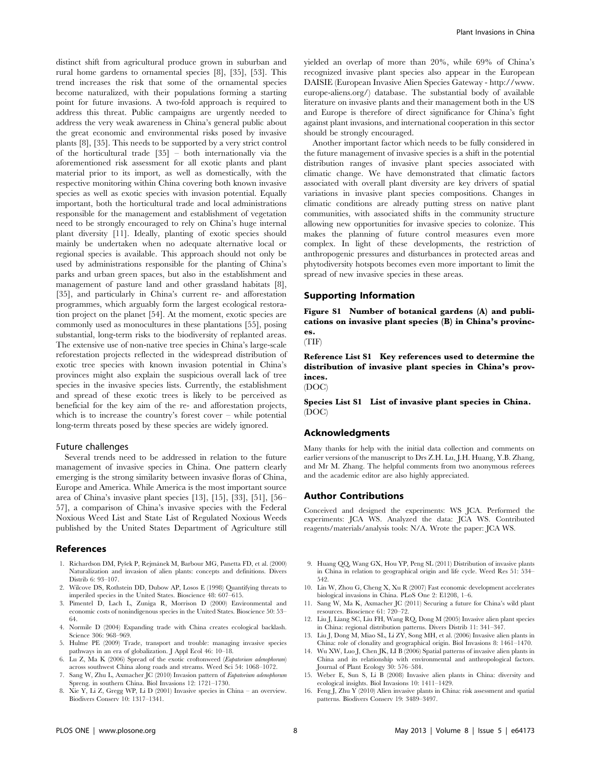distinct shift from agricultural produce grown in suburban and rural home gardens to ornamental species [8], [35], [53]. This trend increases the risk that some of the ornamental species become naturalized, with their populations forming a starting point for future invasions. A two-fold approach is required to address this threat. Public campaigns are urgently needed to address the very weak awareness in China's general public about the great economic and environmental risks posed by invasive plants [8], [35]. This needs to be supported by a very strict control of the horticultural trade [35] – both internationally via the aforementioned risk assessment for all exotic plants and plant material prior to its import, as well as domestically, with the respective monitoring within China covering both known invasive species as well as exotic species with invasion potential. Equally important, both the horticultural trade and local administrations responsible for the management and establishment of vegetation need to be strongly encouraged to rely on China's huge internal plant diversity [11]. Ideally, planting of exotic species should mainly be undertaken when no adequate alternative local or regional species is available. This approach should not only be used by administrations responsible for the planting of China's parks and urban green spaces, but also in the establishment and management of pasture land and other grassland habitats [8], [35], and particularly in China's current re- and afforestation programmes, which arguably form the largest ecological restoration project on the planet [54]. At the moment, exotic species are commonly used as monocultures in these plantations [55], posing substantial, long-term risks to the biodiversity of replanted areas. The extensive use of non-native tree species in China's large-scale reforestation projects reflected in the widespread distribution of exotic tree species with known invasion potential in China's provinces might also explain the suspicious overall lack of tree species in the invasive species lists. Currently, the establishment and spread of these exotic trees is likely to be perceived as beneficial for the key aim of the re- and afforestation projects, which is to increase the country's forest cover – while potential long-term threats posed by these species are widely ignored.

#### Future challenges

Several trends need to be addressed in relation to the future management of invasive species in China. One pattern clearly emerging is the strong similarity between invasive floras of China, Europe and America. While America is the most important source area of China's invasive plant species [13], [15], [33], [51], [56– 57], a comparison of China's invasive species with the Federal Noxious Weed List and State List of Regulated Noxious Weeds published by the United States Department of Agriculture still

#### References

- 1. Richardson DM, Pyšek P, Rejmánek M, Barbour MG, Panetta FD, et al. (2000) Naturalization and invasion of alien plants: concepts and definitions. Divers Distrib 6: 93–107.
- 2. Wilcove DS, Rothstein DD, Dubow AP, Losos E (1998) Quantifying threats to imperiled species in the United States. Bioscience 48: 607–615.
- 3. Pimentel D, Lach L, Zuniga R, Morrison D (2000) Environmental and economic costs of nonindigenous species in the United States. Bioscience 50: 53– 64.
- 4. Normile D (2004) Expanding trade with China creates ecological backlash. Science 306: 968–969.
- 5. Hulme PE (2009) Trade, transport and trouble: managing invasive species pathways in an era of globalization. J Appl Ecol 46: 10–18.
- 6. Lu Z, Ma K (2006) Spread of the exotic croftonweed (Eupatorium adenophorum) across southwest China along roads and streams. Weed Sci 54: 1068–1072.
- 7. Sang W, Zhu L, Axmacher JC (2010) Invasion pattern of Eupatorium adenophorum Spreng. in southern China. Biol Invasions 12: 1721–1730.
- 8. Xie Y, Li Z, Gregg WP, Li D (2001) Invasive species in China an overview. Biodivers Conserv 10: 1317–1341.

yielded an overlap of more than 20%, while 69% of China's recognized invasive plant species also appear in the European DAISIE (European Invasive Alien Species Gateway - http://www. europe-aliens.org/) database. The substantial body of available literature on invasive plants and their management both in the US and Europe is therefore of direct significance for China's fight against plant invasions, and international cooperation in this sector should be strongly encouraged.

Another important factor which needs to be fully considered in the future management of invasive species is a shift in the potential distribution ranges of invasive plant species associated with climatic change. We have demonstrated that climatic factors associated with overall plant diversity are key drivers of spatial variations in invasive plant species compositions. Changes in climatic conditions are already putting stress on native plant communities, with associated shifts in the community structure allowing new opportunities for invasive species to colonize. This makes the planning of future control measures even more complex. In light of these developments, the restriction of anthropogenic pressures and disturbances in protected areas and phytodiversity hotspots becomes even more important to limit the spread of new invasive species in these areas.

### Supporting Information

Figure S1 Number of botanical gardens (A) and publications on invasive plant species (B) in China's provinces.

(TIF)

Reference List S1 Key references used to determine the distribution of invasive plant species in China's provinces.

(DOC)

Species List S1 List of invasive plant species in China. (DOC)

#### Acknowledgments

Many thanks for help with the initial data collection and comments on earlier versions of the manuscript to Drs Z.H. Lu, J.H. Huang, Y.B. Zhang, and Mr M. Zhang. The helpful comments from two anonymous referees and the academic editor are also highly appreciated.

#### Author Contributions

Conceived and designed the experiments: WS JCA. Performed the experiments: JCA WS. Analyzed the data: JCA WS. Contributed reagents/materials/analysis tools: N/A. Wrote the paper: JCA WS.

- 9. Huang QQ, Wang GX, Hou YP, Peng SL (2011) Distribution of invasive plants in China in relation to geographical origin and life cycle. Weed Res 51: 534– 542.
- 10. Lin W, Zhou G, Cheng X, Xu R (2007) Fast economic development accelerates biological invasions in China. PLoS One 2: E1208, 1–6.
- 11. Sang W, Ma K, Axmacher JC (2011) Securing a future for China's wild plant resources. Bioscience 61: 720–72.
- 12. Liu J, Liang SC, Liu FH, Wang RQ, Dong M (2005) Invasive alien plant species in China: regional distribution patterns. Divers Distrib 11: 341–347.
- 13. Liu J, Dong M, Miao SL, Li ZY, Song MH, et al. (2006) Invasive alien plants in China: role of clonality and geographical origin. Biol Invasions 8: 1461–1470.
- 14. Wu XW, Luo J, Chen JK, LI B (2006) Spatial patterns of invasive alien plants in China and its relationship with environmental and anthropological factors. Journal of Plant Ecology 30: 576–584.
- 15. Weber E, Sun S, Li B (2008) Invasive alien plants in China: diversity and ecological insights. Biol Invasions 10: 1411–1429.
- 16. Feng J, Zhu Y (2010) Alien invasive plants in China: risk assessment and spatial patterns. Biodivers Conserv 19: 3489–3497.